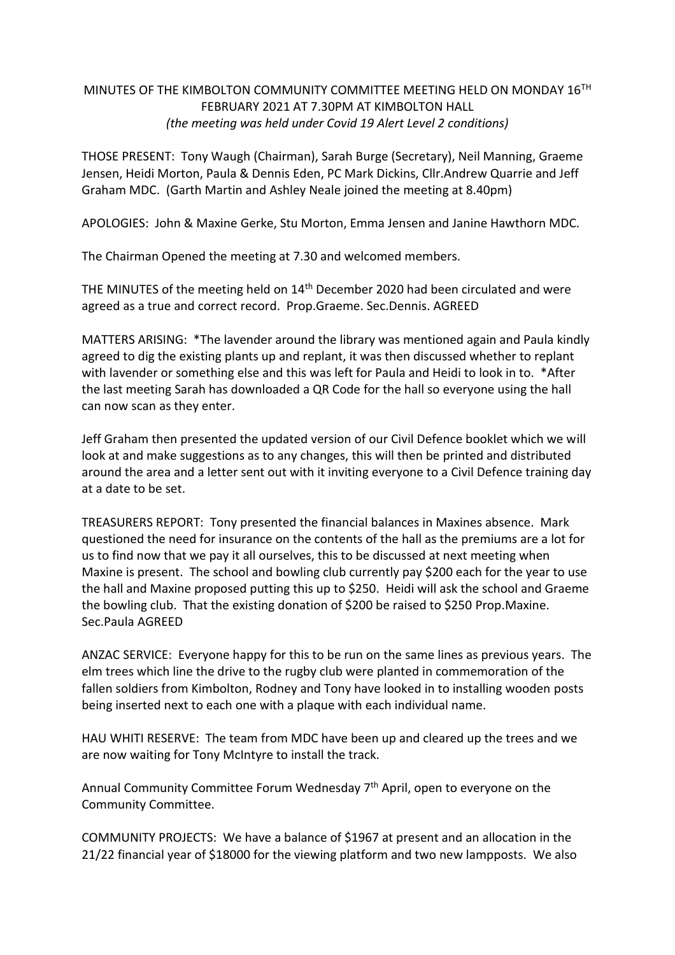## MINUTES OF THE KIMBOLTON COMMUNITY COMMITTEE MEETING HELD ON MONDAY 16TH FEBRUARY 2021 AT 7.30PM AT KIMBOLTON HALL *(the meeting was held under Covid 19 Alert Level 2 conditions)*

THOSE PRESENT: Tony Waugh (Chairman), Sarah Burge (Secretary), Neil Manning, Graeme Jensen, Heidi Morton, Paula & Dennis Eden, PC Mark Dickins, Cllr.Andrew Quarrie and Jeff Graham MDC. (Garth Martin and Ashley Neale joined the meeting at 8.40pm)

APOLOGIES: John & Maxine Gerke, Stu Morton, Emma Jensen and Janine Hawthorn MDC.

The Chairman Opened the meeting at 7.30 and welcomed members.

THE MINUTES of the meeting held on 14<sup>th</sup> December 2020 had been circulated and were agreed as a true and correct record. Prop.Graeme. Sec.Dennis. AGREED

MATTERS ARISING: \*The lavender around the library was mentioned again and Paula kindly agreed to dig the existing plants up and replant, it was then discussed whether to replant with lavender or something else and this was left for Paula and Heidi to look in to. \*After the last meeting Sarah has downloaded a QR Code for the hall so everyone using the hall can now scan as they enter.

Jeff Graham then presented the updated version of our Civil Defence booklet which we will look at and make suggestions as to any changes, this will then be printed and distributed around the area and a letter sent out with it inviting everyone to a Civil Defence training day at a date to be set.

TREASURERS REPORT: Tony presented the financial balances in Maxines absence. Mark questioned the need for insurance on the contents of the hall as the premiums are a lot for us to find now that we pay it all ourselves, this to be discussed at next meeting when Maxine is present. The school and bowling club currently pay \$200 each for the year to use the hall and Maxine proposed putting this up to \$250. Heidi will ask the school and Graeme the bowling club. That the existing donation of \$200 be raised to \$250 Prop.Maxine. Sec.Paula AGREED

ANZAC SERVICE: Everyone happy for this to be run on the same lines as previous years. The elm trees which line the drive to the rugby club were planted in commemoration of the fallen soldiers from Kimbolton, Rodney and Tony have looked in to installing wooden posts being inserted next to each one with a plaque with each individual name.

HAU WHITI RESERVE: The team from MDC have been up and cleared up the trees and we are now waiting for Tony McIntyre to install the track.

Annual Community Committee Forum Wednesday  $7<sup>th</sup>$  April, open to everyone on the Community Committee.

COMMUNITY PROJECTS: We have a balance of \$1967 at present and an allocation in the 21/22 financial year of \$18000 for the viewing platform and two new lampposts. We also